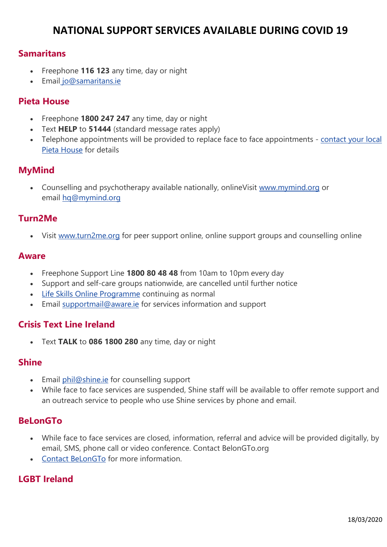## **NATIONAL SUPPORT SERVICES AVAILABLE DURING COVID 19**

## **Samaritans**

- Freephone **116 123** any time, day or night
- Email [jo@samaritans.ie](mailto:jo@samaritans.ie)

## **Pieta House**

- Freephone **1800 247 247** any time, day or night
- Text **HELP** to **51444** (standard message rates apply)
- Telephone appointments will be provided to replace face to face appointments [contact your local](https://www.pieta.ie/contact/)  [Pieta House](https://www.pieta.ie/contact/) for details

## **MyMind**

• Counselling and psychotherapy available nationally, onlineVisit [www.mymind.org](http://www.mymind.org/) or email [hq@mymind.org](mailto:hq@mymind.org)

## **Turn2Me**

• Visit [www.turn2me.org](http://www.turn2me.org/) for peer support online, online support groups and counselling online

#### **Aware**

- Freephone Support Line **1800 80 48 48** from 10am to 10pm every day
- Support and self-care groups nationwide, are cancelled until further notice
- [Life Skills Online Programme](https://www.aware.ie/education/life-skills-online-programme/?utm_source=Social) continuing as normal
- Email [supportmail@aware.ie](mailto:supportmail@aware.ie) for services information and support

## **Crisis Text Line Ireland**

• Text **TALK** to **086 1800 280** any time, day or night

#### **Shine**

- Email [phil@shine.ie](mailto:phil@shine.ie) for counselling support
- While face to face services are suspended, Shine staff will be available to offer remote support and an outreach service to people who use Shine services by phone and email.

## **BeLonGTo**

- While face to face services are closed, information, referral and advice will be provided digitally, by email, SMS, phone call or video conference. Contact BelonGTo.org
- [Contact BeLonGTo](http://www.belongto.org/contact-us/) for more information.

## **LGBT Ireland**